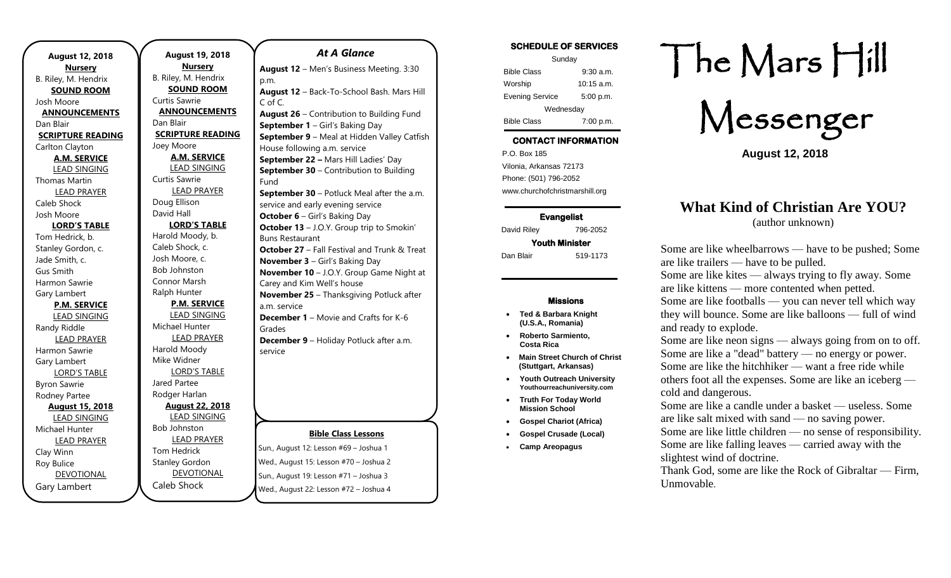| August 12, 2018<br><b>Nursery</b> |
|-----------------------------------|
| B. Riley, M. Hendrix              |
| <b>SOUND ROOM</b>                 |
| Josh Moore                        |
| <b>ANNOUNCEMENTS</b>              |
| Dan Blair                         |
| <b>SCRIPTURE READING</b>          |
| Carlton Clayton                   |
| <b>A.M. SERVICE</b>               |
| <b>LEAD SINGING</b>               |
| Thomas Martin                     |
| <b>LEAD PRAYER</b>                |
| Caleb Shock                       |
| Josh Moore                        |
| <b>LORD'S TABLE</b>               |
| Tom Hedrick, b.                   |
| Stanley Gordon, c.                |
| Jade Smith, c.                    |
| Gus Smith                         |
| Harmon Sawrie                     |
| Gary Lambert                      |
| <b>P.M. SERVICE</b>               |
| <b>LEAD SINGING</b>               |
| Randy Riddle                      |
| <b>LEAD PRAYER</b>                |
| Harmon Sawrie                     |
| <b>Gary Lambert</b>               |
| <b>LORD'S TABLE</b>               |
| <b>Byron Sawrie</b>               |
| Rodney Partee                     |
| <b>August 15, 2018</b>            |
| <b>LEAD SINGING</b>               |
| Michael Hunter                    |
| <b>LEAD PRAYER</b>                |
| Clay Winn                         |
| <b>Roy Bulice</b>                 |
| <b>DEVOTIONAL</b>                 |
| Gary Lambert                      |

**August 19, 2018 Nursery** B. Riley, M. Hendrix **SOUND ROOM** Curtis Sawrie **ANNOUNCEMENTS** Dan Blair **SCRIPTURE READING** Joey Moore **A.M. SERVICE** LEAD SINGING Curtis Sawrie LEAD PRAYER Doug Ellison David Hall **LORD'S TABLE** Harold Moody, b. Caleb Shock, c. Josh Moore, c. Bob Johnston Connor Marsh Ralph Hunter **P.M. SERVICE** LEAD SINGING Michael Hunter LEAD PRAYER Harold Moody Mike Widner LORD'S TABLE Jared Partee Rodger Harlan **August 22, 2018** LEAD SINGING Bob Johnston LEAD PRAYER Tom Hedrick Stanley Gordon DEVOTIONAL

Caleb Shock

## **Bible Class Lessons** Sun., August 12: Lesson #69 – Joshua 1 Wed., August 15: Lesson #70 – Joshua 2 Sun., August 19: Lesson #71 – Joshua 3 *At A Glance*  **August 12** – Men's Business Meeting. 3:30 p.m. **August 12** – Back-To-School Bash. Mars Hill C of C. **August 26** – Contribution to Building Fund **September 1** – Girl's Baking Day **September 9** – Meal at Hidden Valley Catfish House following a.m. service **September 22 –** Mars Hill Ladies' Day **September 30** – Contribution to Building Fund **September 30** – Potluck Meal after the a.m. service and early evening service **October 6** – Girl's Baking Day **October 13** – J.O.Y. Group trip to Smokin' Buns Restaurant **October 27** – Fall Festival and Trunk & Treat **November 3** – Girl's Baking Day **November 10** – J.O.Y. Group Game Night at Carey and Kim Well's house **November 25** – Thanksgiving Potluck after a.m. service **December 1** – Movie and Crafts for K-6 Grades **December 9** – Holiday Potluck after a.m. service

Wed., August 22: Lesson #72 – Joshua 4

## **SCHEDULE OF SERVICES**

| Sunday                 |              |  |
|------------------------|--------------|--|
| <b>Bible Class</b>     | $9:30$ a.m.  |  |
| Worship                | $10:15$ a.m. |  |
| <b>Evening Service</b> | 5:00 p.m.    |  |
| Wednesday              |              |  |
| <b>Bible Class</b>     | 7:00 p.m.    |  |

# **CONTACT INFORMATION**

. .o. Box 166<br>Vilonia, Arkansas 72173 P.O. Box 185 Phone: (501) 796-2052 www.churchofchristmarshill.org

### **Evangelist**

David Riley 796-2052 **Youth Minister** 

Dan Blair 519-1173

#### **Missions**

- **Ted & Barbara Knight (U.S.A., Romania)**
- **Roberto Sarmiento, Costa Rica**
- **Main Street Church of Christ (Stuttgart, Arkansas)**
- **Youth Outreach University Youthourreachuniversity.com**
- **Truth For Today World Mission School**
- **Gospel Chariot (Africa)**
- **Gospel Crusade (Local)**
- **Camp Areopagus**

# The Mars Hill

Messenger

**August 12, 2018**

# **What Kind of Christian Are YOU?**

(author unknown)

Some are like wheelbarrows — have to be pushed; Some are like trailers — have to be pulled. Some are like kites — always trying to fly away. Some

are like kittens — more contented when petted. Some are like footballs — you can never tell which way

they will bounce. Some are like balloons — full of wind and ready to explode.

Some are like neon signs — always going from on to off. Some are like a "dead" battery — no energy or power. Some are like the hitchhiker — want a free ride while others foot all the expenses. Some are like an iceberg cold and dangerous.

Some are like a candle under a basket — useless. Some are like salt mixed with sand — no saving power.

Some are like little children — no sense of responsibility.

Some are like falling leaves — carried away with the slightest wind of doctrine.

Thank God, some are like the Rock of Gibraltar — Firm, Unmovable.